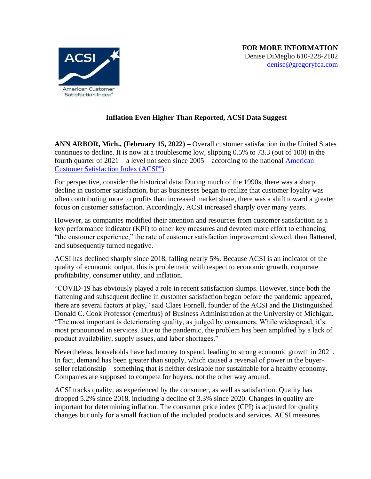

## **Inflation Even Higher Than Reported, ACSI Data Suggest**

**ANN ARBOR, Mich., (February 15, 2022) –** Overall customer satisfaction in the United States continues to decline. It is now at a troublesome low, slipping 0.5% to 73.3 (out of 100) in the fourth quarter of  $2021 - a$  level not seen since  $2005 - a$  according to the national American [Customer Satisfaction Index \(ACSI](http://www.theacsi.org/)[®](http://www.theacsi.org/)[\).](http://www.theacsi.org/)

For perspective, consider the historical data: During much of the 1990s, there was a sharp decline in customer satisfaction, but as businesses began to realize that customer loyalty was often contributing more to profits than increased market share, there was a shift toward a greater focus on customer satisfaction. Accordingly, ACSI increased sharply over many years.

However, as companies modified their attention and resources from customer satisfaction as a key performance indicator (KPI) to other key measures and devoted more effort to enhancing "the customer experience," the rate of customer satisfaction improvement slowed, then flattened, and subsequently turned negative.

ACSI has declined sharply since 2018, falling nearly 5%. Because ACSI is an indicator of the quality of economic output, this is problematic with respect to economic growth, corporate profitability, consumer utility, and inflation.

"COVID-19 has obviously played a role in recent satisfaction slumps. However, since both the flattening and subsequent decline in customer satisfaction began before the pandemic appeared, there are several factors at play," said Claes Fornell, founder of the ACSI and the Distinguished Donald C. Cook Professor (emeritus) of Business Administration at the University of Michigan. "The most important is deteriorating quality, as judged by consumers. While widespread, it's most pronounced in services. Due to the pandemic, the problem has been amplified by a lack of product availability, supply issues, and labor shortages."

Nevertheless, households have had money to spend, leading to strong economic growth in 2021. In fact, demand has been greater than supply, which caused a reversal of power in the buyerseller relationship – something that is neither desirable nor sustainable for a healthy economy. Companies are supposed to compete for buyers, not the other way around.

ACSI tracks quality, as experienced by the consumer, as well as satisfaction. Quality has dropped 5.2% since 2018, including a decline of 3.3% since 2020. Changes in quality are important for determining inflation. The consumer price index (CPI) is adjusted for quality changes but only for a small fraction of the included products and services. ACSI measures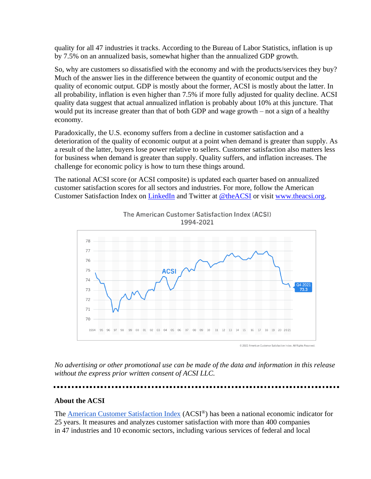quality for all 47 industries it tracks. According to the Bureau of Labor Statistics, inflation is up by 7.5% on an annualized basis, somewhat higher than the annualized GDP growth.

So, why are customers so dissatisfied with the economy and with the products/services they buy? Much of the answer lies in the difference between the quantity of economic output and the quality of economic output. GDP is mostly about the former, ACSI is mostly about the latter. In all probability, inflation is even higher than 7.5% if more fully adjusted for quality decline. ACSI quality data suggest that actual annualized inflation is probably about 10% at this juncture. That would put its increase greater than that of both GDP and wage growth – not a sign of a healthy economy.

Paradoxically, the U.S. economy suffers from a decline in customer satisfaction and a deterioration of the quality of economic output at a point when demand is greater than supply. As a result of the latter, buyers lose power relative to sellers. Customer satisfaction also matters less for business when demand is greater than supply. Quality suffers, and inflation increases. The challenge for economic policy is how to turn these things around.

The national ACSI score (or ACSI composite) is updated each quarter based on annualized customer satisfaction scores for all sectors and industries. For more, follow the American Customer Satisfaction Index on [LinkedIn](https://www.linkedin.com/company/758098/admin/) and Twitter at [@theACSI](http://www.twitter.com/theacsi) or visit [www.theacsi.org.](http://www.theacsi.org/)



The American Customer Satisfaction Index (ACSI) 1994-2021

*No advertising or other promotional use can be made of the data and information in this release* 

*without the express prior written consent of ACSI LLC.*

## **About the ACSI**

The **[American Customer Satisfaction Index](http://www.theacsi.org/)** (ACSI<sup>®</sup>) has been a national economic indicator for 25 years. It measures and analyzes customer satisfaction with more than 400 companies in 47 industries and 10 economic sectors, including various services of federal and local